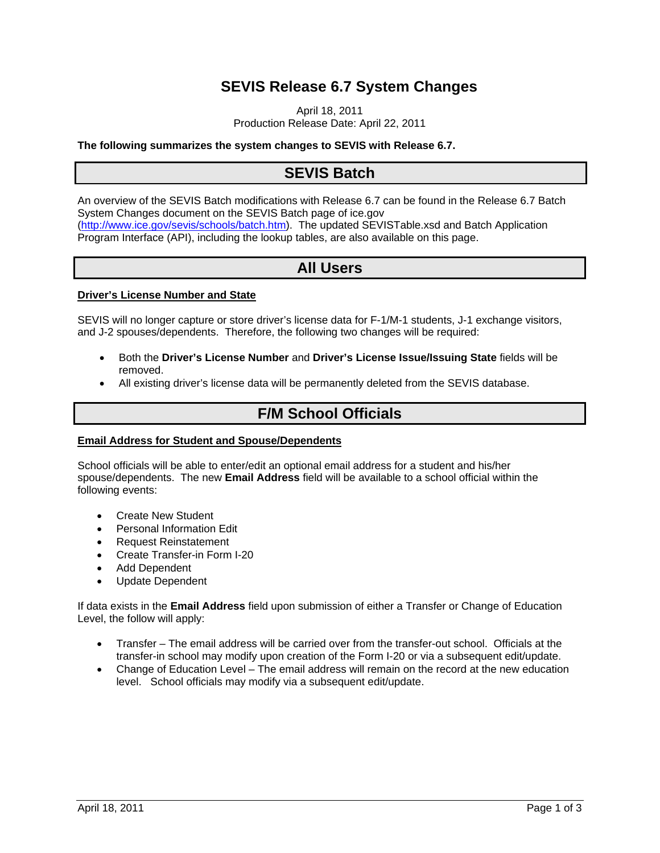## **SEVIS Release 6.7 System Changes**

April 18, 2011 Production Release Date: April 22, 2011

### **The following summarizes the system changes to SEVIS with Release 6.7.**

### **SEVIS Batch**

An overview of the SEVIS Batch modifications with Release 6.7 can be found in the Release 6.7 Batch System Changes document on the SEVIS Batch page of ice.gov (http://www.ice.gov/sevis/schools/batch.htm). The updated SEVISTable.xsd and Batch Application Program Interface (API), including the lookup tables, are also available on this page.

### **All Users**

### **Driver's License Number and State**

SEVIS will no longer capture or store driver's license data for F-1/M-1 students, J-1 exchange visitors, and J-2 spouses/dependents. Therefore, the following two changes will be required:

- Both the **Driver's License Number** and **Driver's License Issue/Issuing State** fields will be removed.
- All existing driver's license data will be permanently deleted from the SEVIS database.

### **F/M School Officials**

### **Email Address for Student and Spouse/Dependents**

School officials will be able to enter/edit an optional email address for a student and his/her spouse/dependents. The new **Email Address** field will be available to a school official within the following events:

- Create New Student
- Personal Information Edit
- Request Reinstatement
- Create Transfer-in Form I-20
- Add Dependent
- Update Dependent

If data exists in the **Email Address** field upon submission of either a Transfer or Change of Education Level, the follow will apply:

- Transfer The email address will be carried over from the transfer-out school. Officials at the transfer-in school may modify upon creation of the Form I-20 or via a subsequent edit/update.
- Change of Education Level The email address will remain on the record at the new education level. School officials may modify via a subsequent edit/update.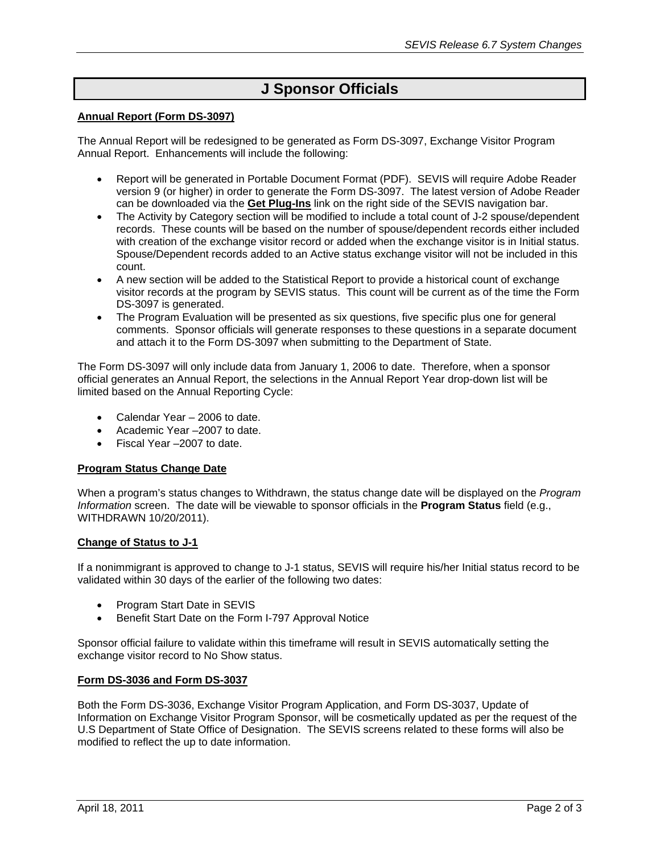## **J Sponsor Officials**

### **Annual Report (Form DS-3097)**

The Annual Report will be redesigned to be generated as Form DS-3097, Exchange Visitor Program Annual Report. Enhancements will include the following:

- Report will be generated in Portable Document Format (PDF). SEVIS will require Adobe Reader version 9 (or higher) in order to generate the Form DS-3097. The latest version of Adobe Reader can be downloaded via the **Get Plug-Ins** link on the right side of the SEVIS navigation bar.
- The Activity by Category section will be modified to include a total count of J-2 spouse/dependent records. These counts will be based on the number of spouse/dependent records either included with creation of the exchange visitor record or added when the exchange visitor is in Initial status. Spouse/Dependent records added to an Active status exchange visitor will not be included in this count.
- A new section will be added to the Statistical Report to provide a historical count of exchange visitor records at the program by SEVIS status. This count will be current as of the time the Form DS-3097 is generated.
- The Program Evaluation will be presented as six questions, five specific plus one for general comments. Sponsor officials will generate responses to these questions in a separate document and attach it to the Form DS-3097 when submitting to the Department of State.

The Form DS-3097 will only include data from January 1, 2006 to date. Therefore, when a sponsor official generates an Annual Report, the selections in the Annual Report Year drop-down list will be limited based on the Annual Reporting Cycle:

- Calendar Year 2006 to date.
- Academic Year –2007 to date.
- Fiscal Year –2007 to date.

### **Program Status Change Date**

When a program's status changes to Withdrawn, the status change date will be displayed on the *Program Information* screen. The date will be viewable to sponsor officials in the **Program Status** field (e.g., WITHDRAWN 10/20/2011).

### **Change of Status to J-1**

If a nonimmigrant is approved to change to J-1 status, SEVIS will require his/her Initial status record to be validated within 30 days of the earlier of the following two dates:

- Program Start Date in SEVIS
- **Benefit Start Date on the Form I-797 Approval Notice**

Sponsor official failure to validate within this timeframe will result in SEVIS automatically setting the exchange visitor record to No Show status.

### **Form DS-3036 and Form DS-3037**

Both the Form DS-3036, Exchange Visitor Program Application, and Form DS-3037, Update of Information on Exchange Visitor Program Sponsor, will be cosmetically updated as per the request of the U.S Department of State Office of Designation. The SEVIS screens related to these forms will also be modified to reflect the up to date information.